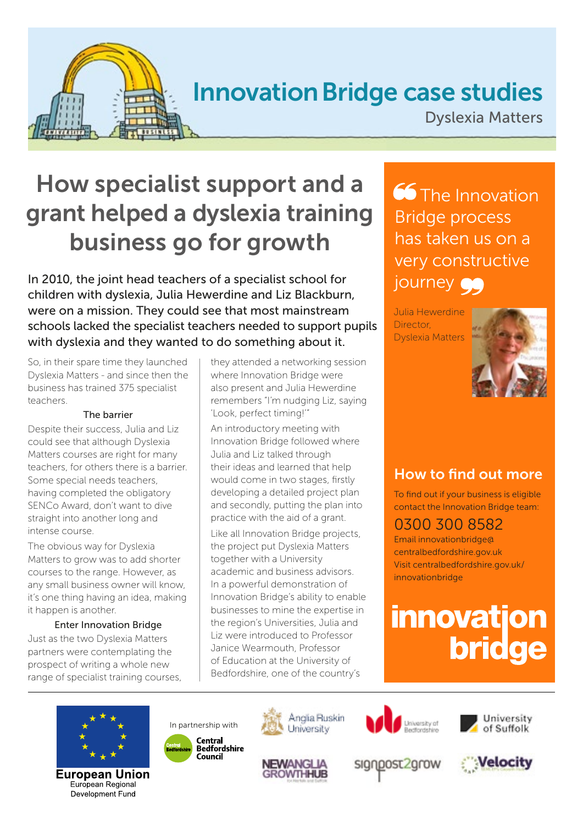

# Innovation Bridge case studies

Dyslexia Matters

# How specialist support and a grant helped a dyslexia training business go for growth

In 2010, the joint head teachers of a specialist school for children with dyslexia, Julia Hewerdine and Liz Blackburn, were on a mission. They could see that most mainstream schools lacked the specialist teachers needed to support pupils with dyslexia and they wanted to do something about it.

So, in their spare time they launched Dyslexia Matters - and since then the business has trained 375 specialist teachers.

#### The barrier

Despite their success, Julia and Liz could see that although Dyslexia Matters courses are right for many teachers, for others there is a barrier. Some special needs teachers, having completed the obligatory SENCo Award, don't want to dive straight into another long and intense course.

The obvious way for Dyslexia Matters to grow was to add shorter courses to the range. However, as any small business owner will know, it's one thing having an idea, making it happen is another.

#### Enter Innovation Bridge

Just as the two Dyslexia Matters partners were contemplating the prospect of writing a whole new range of specialist training courses, they attended a networking session where Innovation Bridge were also present and Julia Hewerdine remembers "I'm nudging Liz, saying 'Look, perfect timing!'"

An introductory meeting with Innovation Bridge followed where Julia and Liz talked through their ideas and learned that help would come in two stages, firstly developing a detailed project plan and secondly, putting the plan into practice with the aid of a grant.

Like all Innovation Bridge projects, the project put Dyslexia Matters together with a University academic and business advisors. In a powerful demonstration of Innovation Bridge's ability to enable businesses to mine the expertise in the region's Universities, Julia and Liz were introduced to Professor Janice Wearmouth, Professor of Education at the University of Bedfordshire, one of the country's

**66** The Innovation Bridge process has taken us on a very constructive journey **OG** 

Julia Hewerdine Director, Dyslexia Matters



### How to find out more

To find out if your business is eligible contact the Innovation Bridge team:

### 0300 300 8582

Email innovationbridge@ centralbedfordshire.gov.uk Visit centralbedfordshire.gov.uk/ innovationbridge

# **innovation bridge**



European Union European Regional Development Fund









signpost2grow